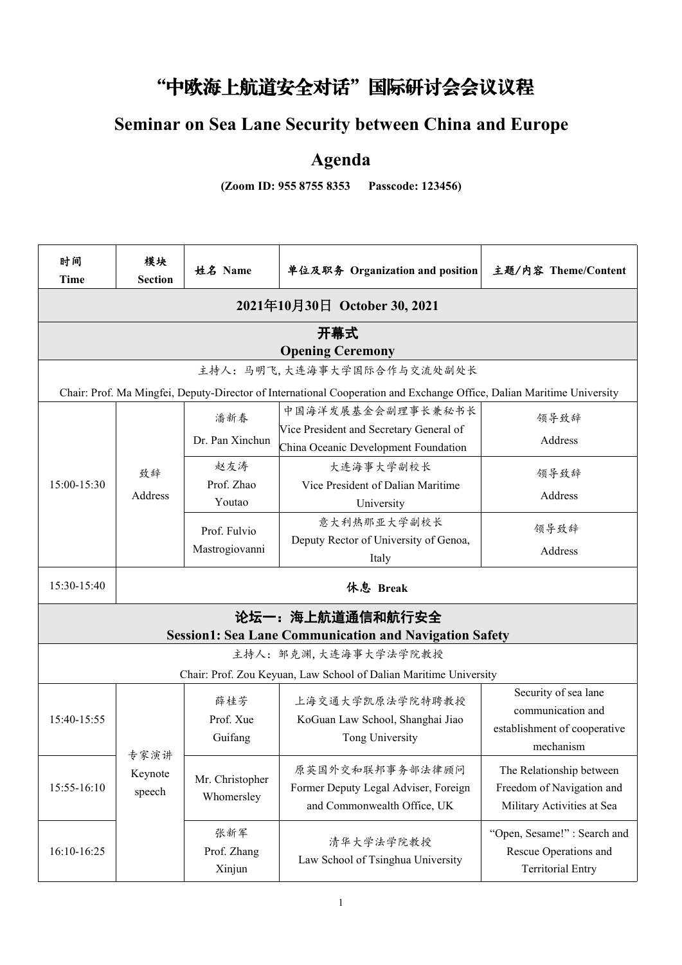## "中欧海上航道安全对话"国际研讨会会议议程

## **Seminar on Sea Lane Security between China and Europe**

## **Agenda**

**(Zoom ID: 955 8755 8353 Passcode: 123456)**

| 时间<br><b>Time</b> | 模块<br><b>Section</b> | 姓名 Name                       | 单位及职务 Organization and position                                                                                       | 主题/内容 Theme/Content                       |
|-------------------|----------------------|-------------------------------|-----------------------------------------------------------------------------------------------------------------------|-------------------------------------------|
|                   |                      |                               | 2021年10月30日 October 30, 2021                                                                                          |                                           |
|                   |                      |                               | 开幕式                                                                                                                   |                                           |
|                   |                      |                               | <b>Opening Ceremony</b>                                                                                               |                                           |
|                   |                      |                               | 主持人:马明飞,大连海事大学国际合作与交流处副处长                                                                                             |                                           |
|                   |                      |                               | Chair: Prof. Ma Mingfei, Deputy-Director of International Cooperation and Exchange Office, Dalian Maritime University |                                           |
|                   |                      | 潘新春                           | 中国海洋发展基金会副理事长兼秘书长                                                                                                     | 领导致辞                                      |
|                   |                      | Dr. Pan Xinchun               | Vice President and Secretary General of<br>China Oceanic Development Foundation                                       | Address                                   |
|                   | 致辞                   | 赵友涛                           | 大连海事大学副校长                                                                                                             | 领导致辞                                      |
| 15:00-15:30       | Address              | Prof. Zhao<br>Youtao          | Vice President of Dalian Maritime<br>University                                                                       | Address                                   |
|                   |                      | Prof. Fulvio                  | 意大利热那亚大学副校长                                                                                                           | 领导致辞                                      |
|                   |                      | Mastrogiovanni                | Deputy Rector of University of Genoa,<br>Italy                                                                        | Address                                   |
| 15:30-15:40       |                      |                               | 休息 Break                                                                                                              |                                           |
|                   |                      |                               | 论坛一:海上航道通信和航行安全                                                                                                       |                                           |
|                   |                      |                               | <b>Session1: Sea Lane Communication and Navigation Safety</b>                                                         |                                           |
|                   |                      |                               | 主持人: 邹克渊,大连海事大学法学院教授                                                                                                  |                                           |
|                   |                      |                               | Chair: Prof. Zou Keyuan, Law School of Dalian Maritime University                                                     |                                           |
|                   |                      | 薛桂芳                           | 上海交通大学凯原法学院特聘教授                                                                                                       | Security of sea lane<br>communication and |
| 15:40-15:55       |                      | Prof. Xue                     | KoGuan Law School, Shanghai Jiao                                                                                      | establishment of cooperative              |
|                   |                      | Guifang                       | Tong University                                                                                                       | mechanism                                 |
|                   | 专家演讲<br>Keynote      | Mr. Christopher<br>Whomersley | 原英国外交和联邦事务部法律顾问                                                                                                       | The Relationship between                  |
| 15:55-16:10       | speech               |                               | Former Deputy Legal Adviser, Foreign                                                                                  | Freedom of Navigation and                 |
|                   |                      |                               | and Commonwealth Office, UK                                                                                           | Military Activities at Sea                |
|                   |                      | 张新军                           |                                                                                                                       | "Open, Sesame!": Search and               |
| 16:10-16:25       |                      | Prof. Zhang                   | 清华大学法学院教授<br>Law School of Tsinghua University                                                                        | Rescue Operations and                     |
|                   |                      | Xinjun                        |                                                                                                                       | <b>Territorial Entry</b>                  |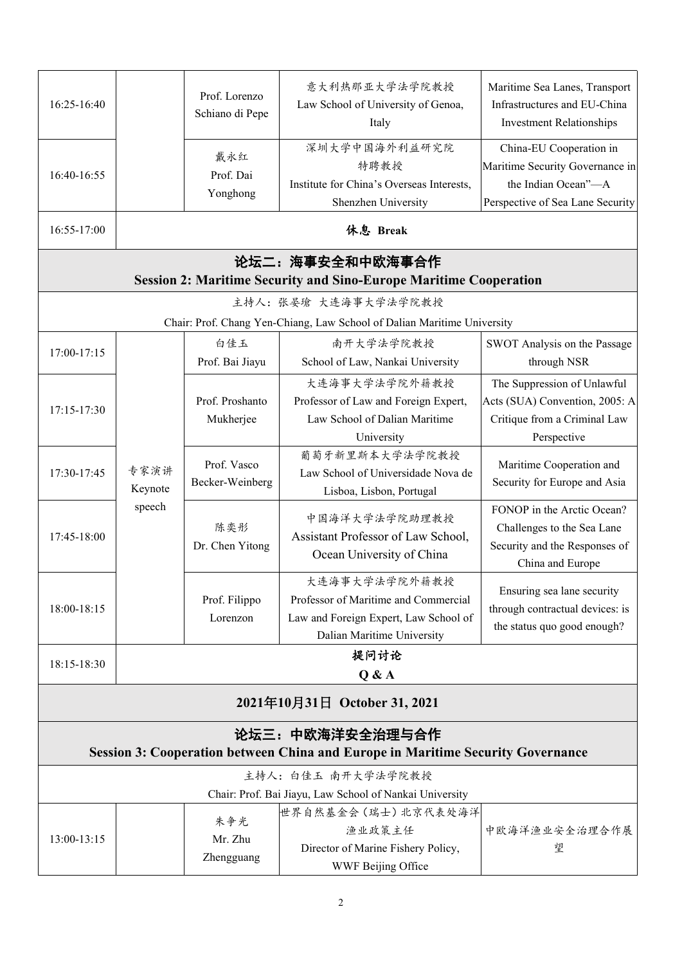| 16:25-16:40 |                           | Prof. Lorenzo<br>Schiano di Pepe | 意大利热那亚大学法学院教授<br>Law School of University of Genoa,<br>Italy                                                                 | Maritime Sea Lanes, Transport<br>Infrastructures and EU-China<br><b>Investment Relationships</b>                      |
|-------------|---------------------------|----------------------------------|------------------------------------------------------------------------------------------------------------------------------|-----------------------------------------------------------------------------------------------------------------------|
| 16:40-16:55 |                           | 戴永红<br>Prof. Dai<br>Yonghong     | 深圳大学中国海外利益研究院<br>特聘教授<br>Institute for China's Overseas Interests,<br>Shenzhen University                                    | China-EU Cooperation in<br>Maritime Security Governance in<br>the Indian Ocean"-A<br>Perspective of Sea Lane Security |
| 16:55-17:00 |                           |                                  | 休息 Break                                                                                                                     |                                                                                                                       |
|             |                           |                                  | 论坛二: 海事安全和中欧海事合作<br><b>Session 2: Maritime Security and Sino-Europe Maritime Cooperation</b>                                 |                                                                                                                       |
|             |                           |                                  | 主持人: 张晏瑲 大连海事大学法学院教授                                                                                                         |                                                                                                                       |
|             |                           |                                  | Chair: Prof. Chang Yen-Chiang, Law School of Dalian Maritime University                                                      |                                                                                                                       |
| 17:00-17:15 |                           | 白佳玉<br>Prof. Bai Jiayu           | 南开大学法学院教授<br>School of Law, Nankai University                                                                                | SWOT Analysis on the Passage<br>through NSR                                                                           |
| 17:15-17:30 | 专家演讲<br>Keynote<br>speech | Prof. Proshanto<br>Mukherjee     | 大连海事大学法学院外籍教授<br>Professor of Law and Foreign Expert,<br>Law School of Dalian Maritime<br>University                         | The Suppression of Unlawful<br>Acts (SUA) Convention, 2005: A<br>Critique from a Criminal Law<br>Perspective          |
| 17:30-17:45 |                           | Prof. Vasco<br>Becker-Weinberg   | 葡萄牙新里斯本大学法学院教授<br>Law School of Universidade Nova de<br>Lisboa, Lisbon, Portugal                                             | Maritime Cooperation and<br>Security for Europe and Asia                                                              |
| 17:45-18:00 |                           | 陈奕彤<br>Dr. Chen Yitong           | 中国海洋大学法学院助理教授<br>Assistant Professor of Law School,<br>Ocean University of China                                             | FONOP in the Arctic Ocean?<br>Challenges to the Sea Lane<br>Security and the Responses of<br>China and Europe         |
| 18:00-18:15 |                           | Prof. Filippo<br>Lorenzon        | 大连海事大学法学院外籍教授<br>Professor of Maritime and Commercial<br>Law and Foreign Expert, Law School of<br>Dalian Maritime University | Ensuring sea lane security<br>through contractual devices: is<br>the status quo good enough?                          |
| 18:15-18:30 | 提问讨论<br>Q & A             |                                  |                                                                                                                              |                                                                                                                       |
|             |                           |                                  | 2021年10月31日 October 31, 2021                                                                                                 |                                                                                                                       |
|             |                           |                                  | 论坛三:中欧海洋安全治理与合作<br><b>Session 3: Cooperation between China and Europe in Maritime Security Governance</b>                    |                                                                                                                       |
|             |                           |                                  | 主持人: 白佳玉 南开大学法学院教授                                                                                                           |                                                                                                                       |
|             |                           |                                  | Chair: Prof. Bai Jiayu, Law School of Nankai University                                                                      |                                                                                                                       |
|             |                           | 朱争光                              | 世界自然基金会(瑞士)北京代表处海洋<br>渔业政策主任                                                                                                 | 中欧海洋渔业安全治理合作展                                                                                                         |
| 13:00-13:15 |                           | Mr. Zhu<br>Zhengguang            | Director of Marine Fishery Policy,<br>WWF Beijing Office                                                                     | 望                                                                                                                     |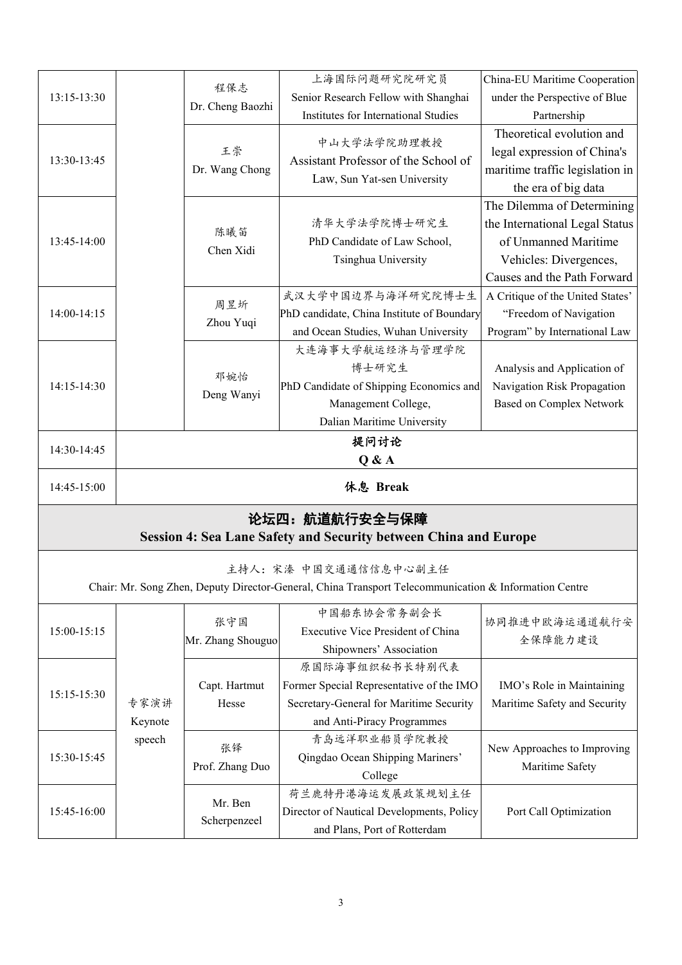| 13:15-13:30 |                           | 程保志                      | 上海国际问题研究院研究员                                                                                                                        | China-EU Maritime Cooperation                                                                                                                 |
|-------------|---------------------------|--------------------------|-------------------------------------------------------------------------------------------------------------------------------------|-----------------------------------------------------------------------------------------------------------------------------------------------|
|             |                           |                          | Senior Research Fellow with Shanghai                                                                                                | under the Perspective of Blue                                                                                                                 |
|             |                           | Dr. Cheng Baozhi         | Institutes for International Studies                                                                                                | Partnership                                                                                                                                   |
| 13:30-13:45 |                           | 王崇<br>Dr. Wang Chong     | 中山大学法学院助理教授<br>Assistant Professor of the School of<br>Law, Sun Yat-sen University                                                  | Theoretical evolution and<br>legal expression of China's<br>maritime traffic legislation in<br>the era of big data                            |
| 13:45-14:00 |                           | 陈曦笛<br>Chen Xidi         | 清华大学法学院博士研究生<br>PhD Candidate of Law School,<br>Tsinghua University                                                                 | The Dilemma of Determining<br>the International Legal Status<br>of Unmanned Maritime<br>Vehicles: Divergences,<br>Causes and the Path Forward |
| 14:00-14:15 |                           | 周昱圻<br>Zhou Yuqi         | 武汉大学中国边界与海洋研究院博士生<br>PhD candidate, China Institute of Boundary<br>and Ocean Studies, Wuhan University                              | A Critique of the United States'<br>"Freedom of Navigation<br>Program" by International Law                                                   |
| 14:15-14:30 |                           | 邓婉怡<br>Deng Wanyi        | 大连海事大学航运经济与管理学院<br>博士研究生<br>PhD Candidate of Shipping Economics and<br>Management College,<br>Dalian Maritime University            | Analysis and Application of<br>Navigation Risk Propagation<br><b>Based on Complex Network</b>                                                 |
| 14:30-14:45 |                           | 提问讨论<br>Q & A            |                                                                                                                                     |                                                                                                                                               |
| 14:45-15:00 |                           |                          | 休息 Break                                                                                                                            |                                                                                                                                               |
|             |                           |                          | 论坛四: 航道航行安全与保障<br><b>Session 4: Sea Lane Safety and Security between China and Europe</b>                                           |                                                                                                                                               |
|             |                           |                          | 主持人: 宋溱 中国交通通信信息中心副主任<br>Chair: Mr. Song Zhen, Deputy Director-General, China Transport Telecommunication & Information Centre      |                                                                                                                                               |
| 15:00-15:15 |                           | 张守国<br>Mr. Zhang Shouguo | 中国船东协会常务副会长<br>Executive Vice President of China<br>Shipowners' Association                                                         | 协同推进中欧海运通道航行安<br>全保障能力建设                                                                                                                      |
| 15:15-15:30 | 专家演讲<br>Keynote<br>speech | Capt. Hartmut<br>Hesse   | 原国际海事组织秘书长特别代表<br>Former Special Representative of the IMO<br>Secretary-General for Maritime Security<br>and Anti-Piracy Programmes | IMO's Role in Maintaining<br>Maritime Safety and Security                                                                                     |
| 15:30-15:45 |                           | 张铎<br>Prof. Zhang Duo    | 青岛远洋职业船员学院教授<br>Qingdao Ocean Shipping Mariners'<br>College                                                                         | New Approaches to Improving<br>Maritime Safety                                                                                                |
| 15:45-16:00 |                           | Mr. Ben                  | 荷兰鹿特丹港海运发展政策规划主任<br>Director of Nautical Developments, Policy                                                                       | Port Call Optimization                                                                                                                        |